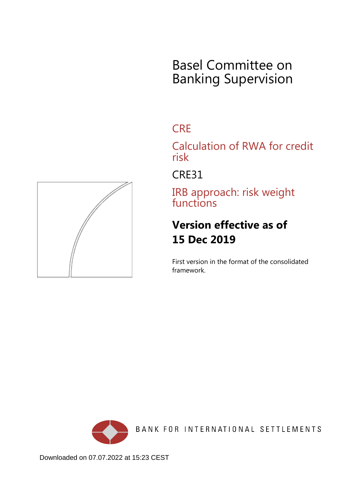# Basel Committee on Banking Supervision

# **CRE**

Calculation of RWA for credit risk

CRE31

IRB approach: risk weight functions

# **Version effective as of 15 Dec 2019**

First version in the format of the consolidated framework.



BANK FOR INTERNATIONAL SETTLEMENTS

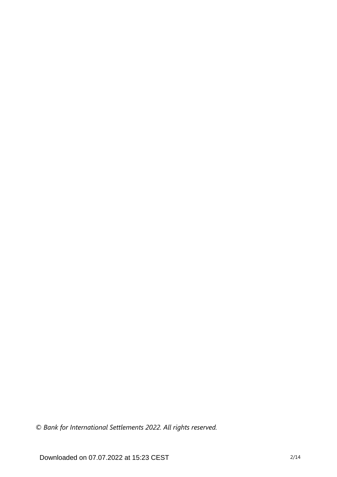*© Bank for International Settlements 2022. All rights reserved.*

Downloaded on 07.07.2022 at 15:23 CEST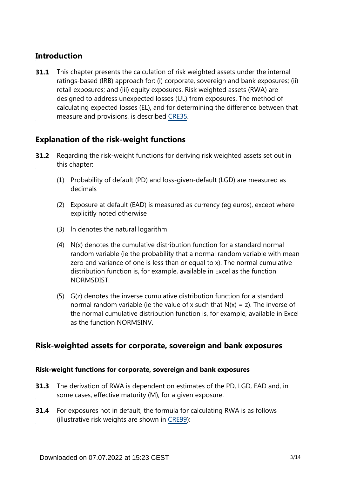# **Introduction**

This chapter presents the calculation of risk weighted assets under the internal ratings-based (IRB) approach for: (i) corporate, sovereign and bank exposures; (ii) retail exposures; and (iii) equity exposures. Risk weighted assets (RWA) are designed to address unexpected losses (UL) from exposures. The method of calculating expected losses (EL), and for determining the difference between that measure and provisions, is described [CRE35.](https://www.bis.org/basel_framework/chapter/CRE/35.htm?tldate=20210228&inforce=20191215&published=20191215) **31.1**

# **Explanation of the risk-weight functions**

- Regarding the risk-weight functions for deriving risk weighted assets set out in this chapter: **31.2**
	- (1) Probability of default (PD) and loss-given-default (LGD) are measured as decimals
	- (2) Exposure at default (EAD) is measured as currency (eg euros), except where explicitly noted otherwise
	- (3) ln denotes the natural logarithm
	- (4) N(x) denotes the cumulative distribution function for a standard normal random variable (ie the probability that a normal random variable with mean zero and variance of one is less than or equal to x). The normal cumulative distribution function is, for example, available in Excel as the function NORMSDIST.
	- (5) G(z) denotes the inverse cumulative distribution function for a standard normal random variable (ie the value of x such that  $N(x) = z$ ). The inverse of the normal cumulative distribution function is, for example, available in Excel as the function NORMSINV.

# **Risk-weighted assets for corporate, sovereign and bank exposures**

## **Risk-weight functions for corporate, sovereign and bank exposures**

- **31.3** The derivation of RWA is dependent on estimates of the PD, LGD, EAD and, in some cases, effective maturity (M), for a given exposure.
- **31.4** For exposures not in default, the formula for calculating RWA is as follows (illustrative risk weights are shown in [CRE99](https://www.bis.org/basel_framework/chapter/CRE/99.htm?tldate=20210228&inforce=20191215&published=20191215)):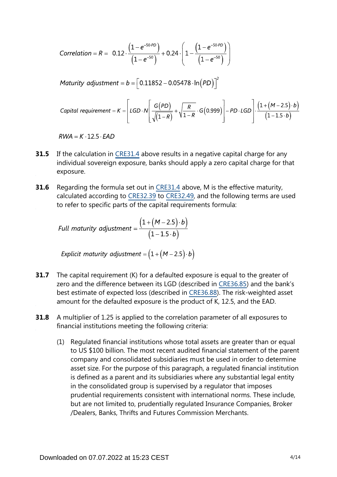Correlation = R = 0.12 
$$
\cdot \frac{(1-e^{-50.PD})}{(1-e^{-50})} + 0.24 \cdot \left(1 - \frac{(1-e^{-50.PD})}{(1-e^{-50})}\right)
$$

Maturity adjustment =  $b = \left[ 0.11852 - 0.05478 \cdot \ln(PD) \right]^2$ 

\n
$$
\text{Capital requirement} = K = \left[ \text{LGD} \cdot N \left[ \frac{G(PD)}{\sqrt{(1-R)}} + \sqrt{\frac{R}{1-R}} \cdot G(0.999) \right] - PD \cdot \text{LGD} \right] \cdot \frac{\left( 1 + (M - 2.5) \cdot b \right)}{\left( 1 - 1.5 \cdot b \right)}
$$
\n

 $RWA = K \cdot 12.5 \cdot EAD$ 

- If the calculation in [CRE31.4](https://www.bis.org/basel_framework/chapter/CRE/31.htm?tldate=20210228&inforce=20191215&published=20191215#paragraph_CRE_31_20191215_31_4) above results in a negative capital charge for any individual sovereign exposure, banks should apply a zero capital charge for that exposure. **31.5**
- Regarding the formula set out in [CRE31.4](https://www.bis.org/basel_framework/chapter/CRE/31.htm?tldate=20210228&inforce=20191215&published=20191215#paragraph_CRE_31_20191215_31_4) above, M is the effective maturity, calculated according to [CRE32.39](https://www.bis.org/basel_framework/chapter/CRE/32.htm?tldate=20210228&inforce=20191215&published=20191215#paragraph_CRE_32_20191215_32_39) to [CRE32.49](https://www.bis.org/basel_framework/chapter/CRE/32.htm?tldate=20210228&inforce=20191215&published=20191215#paragraph_CRE_32_20191215_32_49), and the following terms are used to refer to specific parts of the capital requirements formula: **31.6**

Full maturity adjustment = 
$$
\frac{(1 + (M - 2.5) \cdot b)}{(1 - 1.5 \cdot b)}
$$

Explicit maturity adjustment =  $(1 + (M - 2.5) \cdot b)$ 

- The capital requirement (K) for a defaulted exposure is equal to the greater of zero and the difference between its LGD (described in [CRE36.85\)](https://www.bis.org/basel_framework/chapter/CRE/36.htm?tldate=20210228&inforce=20191215&published=20191215#paragraph_CRE_36_20191215_36_85) and the bank's best estimate of expected loss (described in [CRE36.88](https://www.bis.org/basel_framework/chapter/CRE/36.htm?tldate=20210228&inforce=20191215&published=20191215#paragraph_CRE_36_20191215_36_88)). The risk-weighted asset amount for the defaulted exposure is the product of K, 12.5, and the EAD. **31.7**
- A multiplier of 1.25 is applied to the correlation parameter of all exposures to financial institutions meeting the following criteria: **31.8**
	- (1) Regulated financial institutions whose total assets are greater than or equal to US \$100 billion. The most recent audited financial statement of the parent company and consolidated subsidiaries must be used in order to determine asset size. For the purpose of this paragraph, a regulated financial institution is defined as a parent and its subsidiaries where any substantial legal entity in the consolidated group is supervised by a regulator that imposes prudential requirements consistent with international norms. These include, but are not limited to, prudentially regulated Insurance Companies, Broker /Dealers, Banks, Thrifts and Futures Commission Merchants.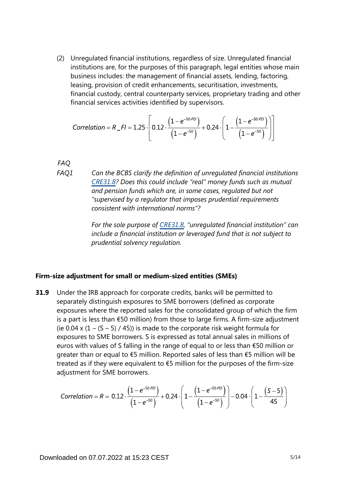(2) Unregulated financial institutions, regardless of size. Unregulated financial institutions are, for the purposes of this paragraph, legal entities whose main business includes: the management of financial assets, lending, factoring, leasing, provision of credit enhancements, securitisation, investments, financial custody, central counterparty services, proprietary trading and other financial services activities identified by supervisors.

Correlation = 
$$
R_{F} = 1.25 \cdot \left[ 0.12 \cdot \frac{\left(1 - e^{-50.9D}\right)}{\left(1 - e^{-50}\right)} + 0.24 \cdot \left(1 - \frac{\left(1 - e^{-50.9D}\right)}{\left(1 - e^{-50}\right)}\right) \right]
$$

*FAQ*

*Can the BCBS clarify the definition of unregulated financial institutions [CRE31.8](https://www.bis.org/basel_framework/chapter/CRE/31.htm?tldate=20210228&inforce=20191215&published=20191215#paragraph_CRE_31_20191215_31_8)? Does this could include "real" money funds such as mutual and pension funds which are, in some cases, regulated but not "supervised by a regulator that imposes prudential requirements consistent with international norms"? FAQ1*

> *For the sole purpose of [CRE31.8,](https://www.bis.org/basel_framework/chapter/CRE/31.htm?tldate=20210228&inforce=20191215&published=20191215#paragraph_CRE_31_20191215_31_8) "unregulated financial institution" can include a financial institution or leveraged fund that is not subject to prudential solvency regulation.*

#### **Firm-size adjustment for small or medium-sized entities (SMEs)**

Under the IRB approach for corporate credits, banks will be permitted to separately distinguish exposures to SME borrowers (defined as corporate exposures where the reported sales for the consolidated group of which the firm is a part is less than €50 million) from those to large firms. A firm-size adjustment (ie 0.04 x  $(1 - (5 - 5) / 45)$ ) is made to the corporate risk weight formula for exposures to SME borrowers. S is expressed as total annual sales in millions of euros with values of S falling in the range of equal to or less than €50 million or greater than or equal to €5 million. Reported sales of less than €5 million will be treated as if they were equivalent to  $\epsilon$ 5 million for the purposes of the firm-size adjustment for SME borrowers. **31.9**

Correlation = R = 0.12 
$$
\cdot \frac{(1 - e^{-50.9D})}{(1 - e^{-50})}
$$
 + 0.24  $\cdot \left(1 - \frac{(1 - e^{-50.9D})}{(1 - e^{-50})}\right)$  - 0.04  $\cdot \left(1 - \frac{(S - 5)}{45}\right)$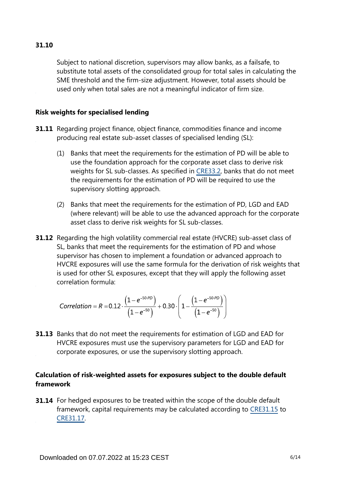Subject to national discretion, supervisors may allow banks, as a failsafe, to substitute total assets of the consolidated group for total sales in calculating the SME threshold and the firm-size adjustment. However, total assets should be used only when total sales are not a meaningful indicator of firm size.

### **Risk weights for specialised lending**

- **31.11** Regarding project finance, object finance, commodities finance and income producing real estate sub-asset classes of specialised lending (SL):
	- (1) Banks that meet the requirements for the estimation of PD will be able to use the foundation approach for the corporate asset class to derive risk weights for SL sub-classes. As specified in [CRE33.2,](https://www.bis.org/basel_framework/chapter/CRE/33.htm?tldate=20210228&inforce=20191215&published=20191215#paragraph_CRE_33_20191215_33_2) banks that do not meet the requirements for the estimation of PD will be required to use the supervisory slotting approach.
	- (2) Banks that meet the requirements for the estimation of PD, LGD and EAD (where relevant) will be able to use the advanced approach for the corporate asset class to derive risk weights for SL sub-classes.
- **31.12** Regarding the high volatility commercial real estate (HVCRE) sub-asset class of SL, banks that meet the requirements for the estimation of PD and whose supervisor has chosen to implement a foundation or advanced approach to HVCRE exposures will use the same formula for the derivation of risk weights that is used for other SL exposures, except that they will apply the following asset correlation formula:

Correlation = 
$$
R = 0.12 \cdot \frac{(1 - e^{-50 \cdot PD})}{(1 - e^{-50})} + 0.30 \cdot \left(1 - \frac{(1 - e^{-50 \cdot PD})}{(1 - e^{-50})}\right)
$$

**31.13** Banks that do not meet the requirements for estimation of LGD and EAD for HVCRE exposures must use the supervisory parameters for LGD and EAD for corporate exposures, or use the supervisory slotting approach.

## **Calculation of risk-weighted assets for exposures subject to the double default framework**

**31.14** For hedged exposures to be treated within the scope of the double default framework, capital requirements may be calculated according to [CRE31.15](https://www.bis.org/basel_framework/chapter/CRE/31.htm?tldate=20210228&inforce=20191215&published=20191215#paragraph_CRE_31_20191215_31_15) to [CRE31.17](https://www.bis.org/basel_framework/chapter/CRE/31.htm?tldate=20210228&inforce=20191215&published=20191215#paragraph_CRE_31_20191215_31_17).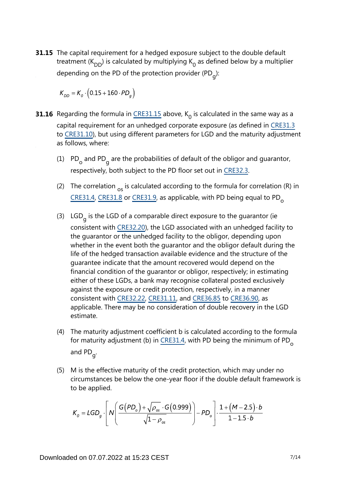**31.15** The capital requirement for a hedged exposure subject to the double default treatment ( $K_{DD}$ ) is calculated by multiplying  $K_0$  as defined below by a multiplier depending on the PD of the protection provider (PD<sub>g</sub>):

$$
K_{DD} = K_o \cdot (0.15 + 160 \cdot PD_g)
$$

- **31.16** Regarding the formula in  $\frac{\text{CRE31.15}}{\text{c}}$  above, K<sub>0</sub> is calculated in the same way as a capital requirement for an unhedged corporate exposure (as defined in [CRE31.3](https://www.bis.org/basel_framework/chapter/CRE/31.htm?tldate=20210228&inforce=20191215&published=20191215#paragraph_CRE_31_20191215_31_3) to [CRE31.10\)](https://www.bis.org/basel_framework/chapter/CRE/31.htm?tldate=20210228&inforce=20191215&published=20191215#paragraph_CRE_31_20191215_31_10), but using different parameters for LGD and the maturity adjustment as follows, where:
	- (1)  $PD_{o}$  and PD<sub>g</sub> are the probabilities of default of the obligor and guarantor, respectively, both subject to the PD floor set out in [CRE32.3](https://www.bis.org/basel_framework/chapter/CRE/32.htm?tldate=20210228&inforce=20191215&published=20191215#paragraph_CRE_32_20191215_32_3).
	- (2) The correlation  $_{\text{os}}$  is calculated according to the formula for correlation (R) in [CRE31.4](https://www.bis.org/basel_framework/chapter/CRE/31.htm?tldate=20210228&inforce=20191215&published=20191215#paragraph_CRE_31_20191215_31_4), [CRE31.8](https://www.bis.org/basel_framework/chapter/CRE/31.htm?tldate=20210228&inforce=20191215&published=20191215#paragraph_CRE_31_20191215_31_8) or [CRE31.9](https://www.bis.org/basel_framework/chapter/CRE/31.htm?tldate=20210228&inforce=20191215&published=20191215#paragraph_CRE_31_20191215_31_9), as applicable, with PD being equal to PD<sub>o</sub>
	- (3) LGD<sub>g</sub> is the LGD of a comparable direct exposure to the guarantor (ie consistent with [CRE32.20](https://www.bis.org/basel_framework/chapter/CRE/32.htm?tldate=20210228&inforce=20191215&published=20191215#paragraph_CRE_32_20191215_32_20)), the LGD associated with an unhedged facility to the guarantor or the unhedged facility to the obligor, depending upon whether in the event both the guarantor and the obligor default during the life of the hedged transaction available evidence and the structure of the guarantee indicate that the amount recovered would depend on the financial condition of the guarantor or obligor, respectively; in estimating either of these LGDs, a bank may recognise collateral posted exclusively against the exposure or credit protection, respectively, in a manner consistent with [CRE32.22](https://www.bis.org/basel_framework/chapter/CRE/32.htm?tldate=20210228&inforce=20191215&published=20191215#paragraph_CRE_32_20191215_32_22), [CRE31.11](https://www.bis.org/basel_framework/chapter/CRE/31.htm?tldate=20210228&inforce=20191215&published=20191215#paragraph_CRE_31_20191215_31_11), and [CRE36.85](https://www.bis.org/basel_framework/chapter/CRE/36.htm?tldate=20210228&inforce=20191215&published=20191215#paragraph_CRE_36_20191215_36_85) to [CRE36.90,](https://www.bis.org/basel_framework/chapter/CRE/36.htm?tldate=20210228&inforce=20191215&published=20191215#paragraph_CRE_36_20191215_36_90) as applicable. There may be no consideration of double recovery in the LGD estimate.
	- (4) The maturity adjustment coefficient b is calculated according to the formula for maturity adjustment (b) in [CRE31.4](https://www.bis.org/basel_framework/chapter/CRE/31.htm?tldate=20210228&inforce=20191215&published=20191215#paragraph_CRE_31_20191215_31_4), with PD being the minimum of PD<sub>o</sub> and PD<sub>g</sub>.
	- (5) M is the effective maturity of the credit protection, which may under no circumstances be below the one-year floor if the double default framework is to be applied.

$$
K_o = LGD_g \cdot \left[ N \left( \frac{G(PD_o) + \sqrt{\rho_{os}} \cdot G(0.999)}{\sqrt{1 - \rho_{os}}} \right) - PD_o \right] \cdot \frac{1 + (M - 2.5) \cdot b}{1 - 1.5 \cdot b}
$$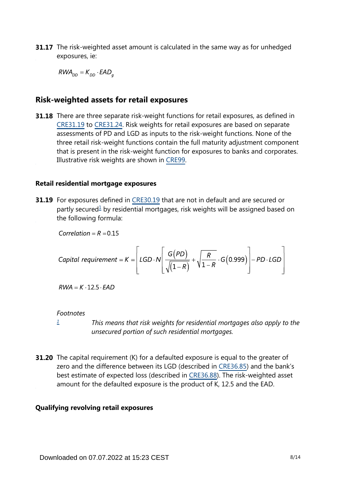**31.17** The risk-weighted asset amount is calculated in the same way as for unhedged exposures, ie:

 $RWA_{DD} = K_{DD} \cdot EAD_a$ 

# **Risk-weighted assets for retail exposures**

**31.18** There are three separate risk-weight functions for retail exposures, as defined in [CRE31.19](https://www.bis.org/basel_framework/chapter/CRE/31.htm?tldate=20210228&inforce=20191215&published=20191215#paragraph_CRE_31_20191215_31_19) to [CRE31.24](https://www.bis.org/basel_framework/chapter/CRE/31.htm?tldate=20210228&inforce=20191215&published=20191215#paragraph_CRE_31_20191215_31_24). Risk weights for retail exposures are based on separate assessments of PD and LGD as inputs to the risk-weight functions. None of the three retail risk-weight functions contain the full maturity adjustment component that is present in the risk-weight function for exposures to banks and corporates. Illustrative risk weights are shown in [CRE99](https://www.bis.org/basel_framework/chapter/CRE/99.htm?tldate=20210228&inforce=20191215&published=20191215).

#### **Retail residential mortgage exposures**

<span id="page-7-1"></span>**31.19** For exposures defined in [CRE30.19](https://www.bis.org/basel_framework/chapter/CRE/30.htm?tldate=20210228&inforce=20191215&published=20191215#paragraph_CRE_30_20191215_30_19) that are not in default and are secured or partly secured<sup>[1](#page-7-0)</sup> by residential mortgages, risk weights will be assigned based on the following formula:

Correlation =  $R = 0.15$ 

\n
$$
\text{Capital requirement} = K = \left[ \text{LGD} \cdot N \left[ \frac{G(PD)}{\sqrt{(1-R)}} + \sqrt{\frac{R}{1-R}} \cdot G(0.999) \right] - PD \cdot \text{LGD} \right]
$$
\n

 $RWA = K \cdot 12.5 \cdot EAD$ 

#### *Footnotes*

*[1](#page-7-1)*

*This means that risk weights for residential mortgages also apply to the unsecured portion of such residential mortgages.*

<span id="page-7-0"></span>**31.20** The capital requirement (K) for a defaulted exposure is equal to the greater of zero and the difference between its LGD (described in [CRE36.85\)](https://www.bis.org/basel_framework/chapter/CRE/36.htm?tldate=20210228&inforce=20191215&published=20191215#paragraph_CRE_36_20191215_36_85) and the bank's best estimate of expected loss (described in [CRE36.88](https://www.bis.org/basel_framework/chapter/CRE/36.htm?tldate=20210228&inforce=20191215&published=20191215#paragraph_CRE_36_20191215_36_88)). The risk-weighted asset amount for the defaulted exposure is the product of K, 12.5 and the EAD.

#### **Qualifying revolving retail exposures**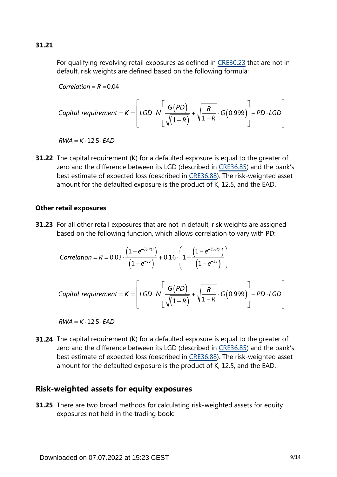For qualifying revolving retail exposures as defined in [CRE30.23](https://www.bis.org/basel_framework/chapter/CRE/30.htm?tldate=20210228&inforce=20191215&published=20191215#paragraph_CRE_30_20191215_30_23) that are not in default, risk weights are defined based on the following formula:

Correlation =  $R = 0.04$ 

\n
$$
\text{Capital requirement} = K = \left[ \text{LGD} \cdot N \left[ \frac{G(PD)}{\sqrt{\left(1 - R\right)}} + \sqrt{\frac{R}{1 - R}} \cdot G\left(0.999\right) \right] - PD \cdot \text{LGD} \right]
$$
\n

 $RWA = K \cdot 12.5 \cdot FAD$ 

**31.22** The capital requirement (K) for a defaulted exposure is equal to the greater of zero and the difference between its LGD (described in [CRE36.85\)](https://www.bis.org/basel_framework/chapter/CRE/36.htm?tldate=20210228&inforce=20191215&published=20191215#paragraph_CRE_36_20191215_36_85) and the bank's best estimate of expected loss (described in [CRE36.88](https://www.bis.org/basel_framework/chapter/CRE/36.htm?tldate=20210228&inforce=20191215&published=20191215#paragraph_CRE_36_20191215_36_88)). The risk-weighted asset amount for the defaulted exposure is the product of K, 12.5, and the EAD.

### **Other retail exposures**

**31.23** For all other retail exposures that are not in default, risk weights are assigned based on the following function, which allows correlation to vary with PD:

Correlation = R = 0.03 
$$
\cdot \frac{(1 - e^{-35.PD})}{(1 - e^{-35})} + 0.16 \cdot \left(1 - \frac{(1 - e^{-35.PD})}{(1 - e^{-35})}\right)
$$
  
Capital requirement = K = 
$$
[LGD \cdot N] \frac{G(PD)}{\sqrt{(1 - R)}} + \sqrt{\frac{R}{1 - R}} \cdot G(0.999) - PD \cdot LGD
$$

 $RWA = K \cdot 12.5 \cdot EAD$ 

**31.24** The capital requirement (K) for a defaulted exposure is equal to the greater of zero and the difference between its LGD (described in [CRE36.85\)](https://www.bis.org/basel_framework/chapter/CRE/36.htm?tldate=20210228&inforce=20191215&published=20191215#paragraph_CRE_36_20191215_36_85) and the bank's best estimate of expected loss (described in [CRE36.88](https://www.bis.org/basel_framework/chapter/CRE/36.htm?tldate=20210228&inforce=20191215&published=20191215#paragraph_CRE_36_20191215_36_88)). The risk-weighted asset amount for the defaulted exposure is the product of K, 12.5, and the EAD.

# **Risk-weighted assets for equity exposures**

**31.25** There are two broad methods for calculating risk-weighted assets for equity exposures not held in the trading book: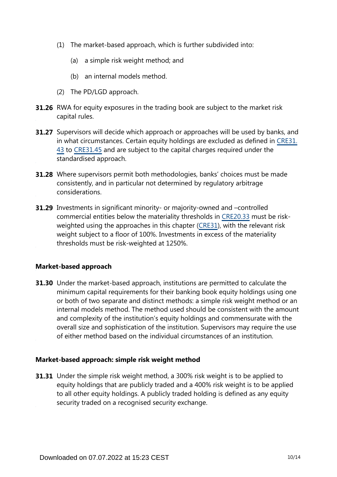- (1) The market-based approach, which is further subdivided into:
	- (a) a simple risk weight method; and
	- (b) an internal models method.
- (2) The PD/LGD approach.
- **31.26** RWA for equity exposures in the trading book are subject to the market risk capital rules.
- **31.27** Supervisors will decide which approach or approaches will be used by banks, and in what circumstances. Certain equity holdings are excluded as defined in [CRE31.](https://www.bis.org/basel_framework/chapter/CRE/31.htm?tldate=20210228&inforce=20191215&published=20191215#paragraph_CRE_31_20191215_31_43) [43](https://www.bis.org/basel_framework/chapter/CRE/31.htm?tldate=20210228&inforce=20191215&published=20191215#paragraph_CRE_31_20191215_31_43) to [CRE31.45](https://www.bis.org/basel_framework/chapter/CRE/31.htm?tldate=20210228&inforce=20191215&published=20191215#paragraph_CRE_31_20191215_31_45) and are subject to the capital charges required under the standardised approach.
- **31.28** Where supervisors permit both methodologies, banks' choices must be made consistently, and in particular not determined by regulatory arbitrage considerations.
- **31.29** Investments in significant minority- or majority-owned and -controlled commercial entities below the materiality thresholds in [CRE20.33](https://www.bis.org/basel_framework/chapter/CRE/20.htm?tldate=20210228&inforce=20191215&published=20191215#paragraph_CRE_20_20191215_20_33) must be riskweighted using the approaches in this chapter [\(CRE31\)](https://www.bis.org/basel_framework/chapter/CRE/31.htm?tldate=20210228&inforce=20191215&published=20191215), with the relevant risk weight subject to a floor of 100%. Investments in excess of the materiality thresholds must be risk-weighted at 1250%.

#### **Market-based approach**

**31.30** Under the market-based approach, institutions are permitted to calculate the minimum capital requirements for their banking book equity holdings using one or both of two separate and distinct methods: a simple risk weight method or an internal models method. The method used should be consistent with the amount and complexity of the institution's equity holdings and commensurate with the overall size and sophistication of the institution. Supervisors may require the use of either method based on the individual circumstances of an institution.

#### **Market-based approach: simple risk weight method**

**31.31** Under the simple risk weight method, a 300% risk weight is to be applied to equity holdings that are publicly traded and a 400% risk weight is to be applied to all other equity holdings. A publicly traded holding is defined as any equity security traded on a recognised security exchange.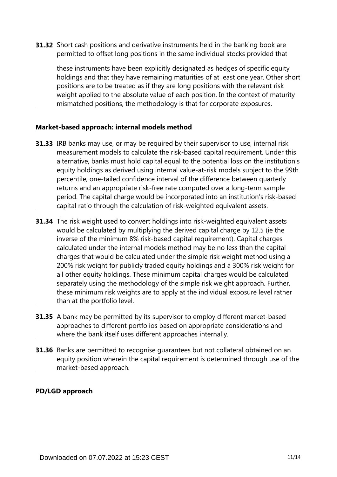**31.32** Short cash positions and derivative instruments held in the banking book are permitted to offset long positions in the same individual stocks provided that

these instruments have been explicitly designated as hedges of specific equity holdings and that they have remaining maturities of at least one year. Other short positions are to be treated as if they are long positions with the relevant risk weight applied to the absolute value of each position. In the context of maturity mismatched positions, the methodology is that for corporate exposures.

## **Market-based approach: internal models method**

- **31.33** IRB banks may use, or may be required by their supervisor to use, internal risk measurement models to calculate the risk-based capital requirement. Under this alternative, banks must hold capital equal to the potential loss on the institution's equity holdings as derived using internal value-at-risk models subject to the 99th percentile, one-tailed confidence interval of the difference between quarterly returns and an appropriate risk-free rate computed over a long-term sample period. The capital charge would be incorporated into an institution's risk-based capital ratio through the calculation of risk-weighted equivalent assets.
- **31.34** The risk weight used to convert holdings into risk-weighted equivalent assets would be calculated by multiplying the derived capital charge by 12.5 (ie the inverse of the minimum 8% risk-based capital requirement). Capital charges calculated under the internal models method may be no less than the capital charges that would be calculated under the simple risk weight method using a 200% risk weight for publicly traded equity holdings and a 300% risk weight for all other equity holdings. These minimum capital charges would be calculated separately using the methodology of the simple risk weight approach. Further, these minimum risk weights are to apply at the individual exposure level rather than at the portfolio level.
- **31.35** A bank may be permitted by its supervisor to employ different market-based approaches to different portfolios based on appropriate considerations and where the bank itself uses different approaches internally.
- **31.36** Banks are permitted to recognise guarantees but not collateral obtained on an equity position wherein the capital requirement is determined through use of the market-based approach.

## **PD/LGD approach**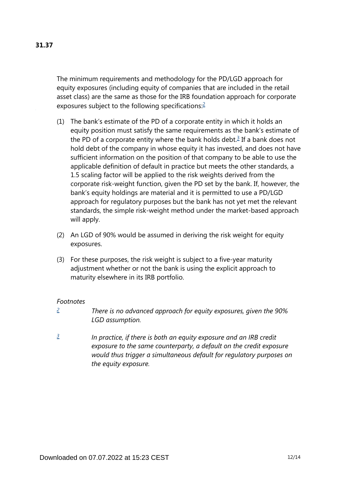The minimum requirements and methodology for the PD/LGD approach for equity exposures (including equity of companies that are included in the retail asset class) are the same as those for the IRB foundation approach for corporate exposures subject to the following specifications:<sup>[2](#page-11-0)</sup>

- <span id="page-11-3"></span><span id="page-11-2"></span>(1) The bank's estimate of the PD of a corporate entity in which it holds an equity position must satisfy the same requirements as the bank's estimate of the PD of a corporate entity where the bank holds debt. $3$  If a bank does not hold debt of the company in whose equity it has invested, and does not have sufficient information on the position of that company to be able to use the applicable definition of default in practice but meets the other standards, a 1.5 scaling factor will be applied to the risk weights derived from the corporate risk-weight function, given the PD set by the bank. If, however, the bank's equity holdings are material and it is permitted to use a PD/LGD approach for regulatory purposes but the bank has not yet met the relevant standards, the simple risk-weight method under the market-based approach will apply.
- (2) An LGD of 90% would be assumed in deriving the risk weight for equity exposures.
- (3) For these purposes, the risk weight is subject to a five-year maturity adjustment whether or not the bank is using the explicit approach to maturity elsewhere in its IRB portfolio.

#### *Footnotes*

- <span id="page-11-0"></span>*There is no advanced approach for equity exposures, given the 90% LGD assumption. [2](#page-11-2)*
- <span id="page-11-1"></span>*In practice, if there is both an equity exposure and an IRB credit exposure to the same counterparty, a default on the credit exposure would thus trigger a simultaneous default for regulatory purposes on the equity exposure. [3](#page-11-3)*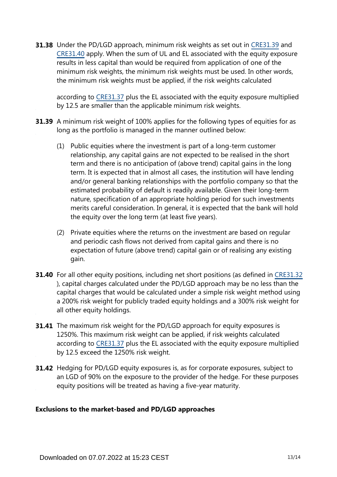**31.38** Under the PD/LGD approach, minimum risk weights as set out in [CRE31.39](https://www.bis.org/basel_framework/chapter/CRE/31.htm?tldate=20210228&inforce=20191215&published=20191215#paragraph_CRE_31_20191215_31_39) and [CRE31.40](https://www.bis.org/basel_framework/chapter/CRE/31.htm?tldate=20210228&inforce=20191215&published=20191215#paragraph_CRE_31_20191215_31_40) apply. When the sum of UL and EL associated with the equity exposure results in less capital than would be required from application of one of the minimum risk weights, the minimum risk weights must be used. In other words, the minimum risk weights must be applied, if the risk weights calculated

according to [CRE31.37](https://www.bis.org/basel_framework/chapter/CRE/31.htm?tldate=20210228&inforce=20191215&published=20191215#paragraph_CRE_31_20191215_31_37) plus the EL associated with the equity exposure multiplied by 12.5 are smaller than the applicable minimum risk weights.

- **31.39** A minimum risk weight of 100% applies for the following types of equities for as long as the portfolio is managed in the manner outlined below:
	- (1) Public equities where the investment is part of a long-term customer relationship, any capital gains are not expected to be realised in the short term and there is no anticipation of (above trend) capital gains in the long term. It is expected that in almost all cases, the institution will have lending and/or general banking relationships with the portfolio company so that the estimated probability of default is readily available. Given their long-term nature, specification of an appropriate holding period for such investments merits careful consideration. In general, it is expected that the bank will hold the equity over the long term (at least five years).
	- (2) Private equities where the returns on the investment are based on regular and periodic cash flows not derived from capital gains and there is no expectation of future (above trend) capital gain or of realising any existing gain.
- **31.40** For all other equity positions, including net short positions (as defined in [CRE31.32](https://www.bis.org/basel_framework/chapter/CRE/31.htm?tldate=20210228&inforce=20191215&published=20191215#paragraph_CRE_31_20191215_31_32) ), capital charges calculated under the PD/LGD approach may be no less than the capital charges that would be calculated under a simple risk weight method using a 200% risk weight for publicly traded equity holdings and a 300% risk weight for all other equity holdings.
- **31.41** The maximum risk weight for the PD/LGD approach for equity exposures is 1250%. This maximum risk weight can be applied, if risk weights calculated according to [CRE31.37](https://www.bis.org/basel_framework/chapter/CRE/31.htm?tldate=20210228&inforce=20191215&published=20191215#paragraph_CRE_31_20191215_31_37) plus the EL associated with the equity exposure multiplied by 12.5 exceed the 1250% risk weight.
- **31.42** Hedging for PD/LGD equity exposures is, as for corporate exposures, subject to an LGD of 90% on the exposure to the provider of the hedge. For these purposes equity positions will be treated as having a five-year maturity.

## **Exclusions to the market-based and PD/LGD approaches**